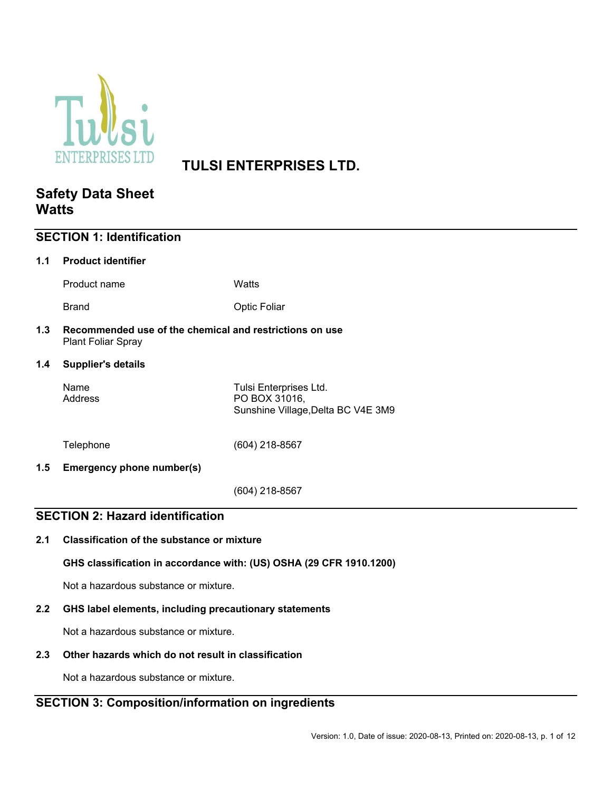

# **TULSI ENTERPRISES LTD.**

# **Safety Data Sheet Watts**

| <b>SECTION 1: Identification</b>        |                                                                                      |                                                                               |  |  |
|-----------------------------------------|--------------------------------------------------------------------------------------|-------------------------------------------------------------------------------|--|--|
| 1.1                                     | <b>Product identifier</b>                                                            |                                                                               |  |  |
|                                         | Product name                                                                         | Watts                                                                         |  |  |
|                                         | <b>Brand</b>                                                                         | <b>Optic Foliar</b>                                                           |  |  |
| 1.3                                     | Recommended use of the chemical and restrictions on use<br><b>Plant Foliar Spray</b> |                                                                               |  |  |
| 1.4                                     | <b>Supplier's details</b>                                                            |                                                                               |  |  |
|                                         | Name<br>Address                                                                      | Tulsi Enterprises Ltd.<br>PO BOX 31016,<br>Sunshine Village, Delta BC V4E 3M9 |  |  |
|                                         | Telephone                                                                            | (604) 218-8567                                                                |  |  |
| 1.5                                     | Emergency phone number(s)                                                            |                                                                               |  |  |
|                                         |                                                                                      | (604) 218-8567                                                                |  |  |
| <b>SECTION 2: Hazard identification</b> |                                                                                      |                                                                               |  |  |
| 2.1                                     | <b>Classification of the substance or mixture</b>                                    |                                                                               |  |  |
|                                         | GHS classification in accordance with: (US) OSHA (29 CFR 1910.1200)                  |                                                                               |  |  |

Not a hazardous substance or mixture.

## **2.2 GHS label elements, including precautionary statements**

Not a hazardous substance or mixture.

### **2.3 Other hazards which do not result in classification**

Not a hazardous substance or mixture.

# **SECTION 3: Composition/information on ingredients**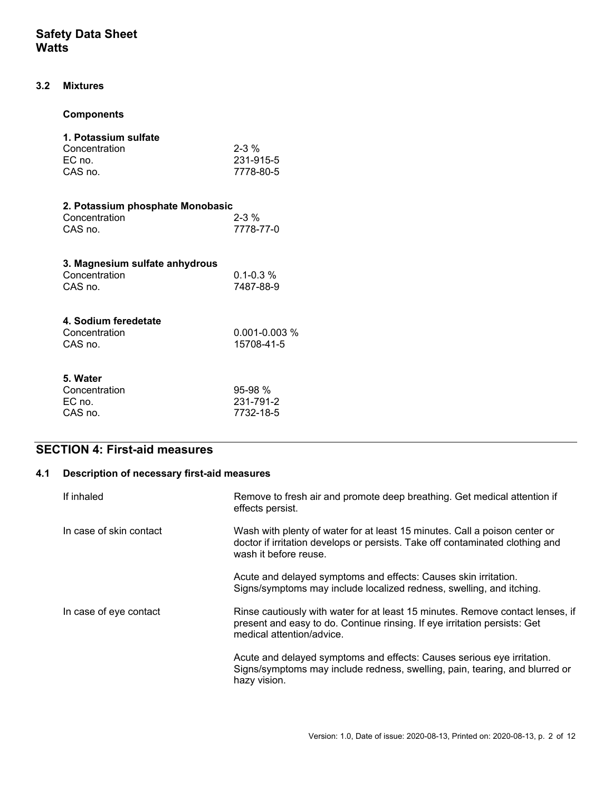### **3.2 Mixtures**

### **Components**

| 1. Potassium sulfate<br>Concentration<br>EC no<br>CAS no.   | $2 - 3 %$<br>231-915-5<br>7778-80-5 |
|-------------------------------------------------------------|-------------------------------------|
| 2. Potassium phosphate Monobasic<br>Concentration<br>CAS no | $2 - 3 \%$<br>7778-77-0             |
| 3. Magnesium sulfate anhydrous<br>Concentration<br>CAS no.  | $0.1 - 0.3$ %<br>7487-88-9          |

| $0.001 - 0.003$ % |
|-------------------|
|                   |
| 15708-41-5        |
|                   |

| $95-98%$  |
|-----------|
| 231-791-2 |
| 7732-18-5 |
|           |

# **SECTION 4: First-aid measures**

# **4.1 Description of necessary first-aid measures**

| If inhaled              | Remove to fresh air and promote deep breathing. Get medical attention if<br>effects persist.                                                                                             |
|-------------------------|------------------------------------------------------------------------------------------------------------------------------------------------------------------------------------------|
| In case of skin contact | Wash with plenty of water for at least 15 minutes. Call a poison center or<br>doctor if irritation develops or persists. Take off contaminated clothing and<br>wash it before reuse.     |
|                         | Acute and delayed symptoms and effects: Causes skin irritation.<br>Signs/symptoms may include localized redness, swelling, and itching.                                                  |
| In case of eye contact  | Rinse cautiously with water for at least 15 minutes. Remove contact lenses, if<br>present and easy to do. Continue rinsing. If eye irritation persists: Get<br>medical attention/advice. |
|                         | Acute and delayed symptoms and effects: Causes serious eye irritation.<br>Signs/symptoms may include redness, swelling, pain, tearing, and blurred or<br>hazy vision.                    |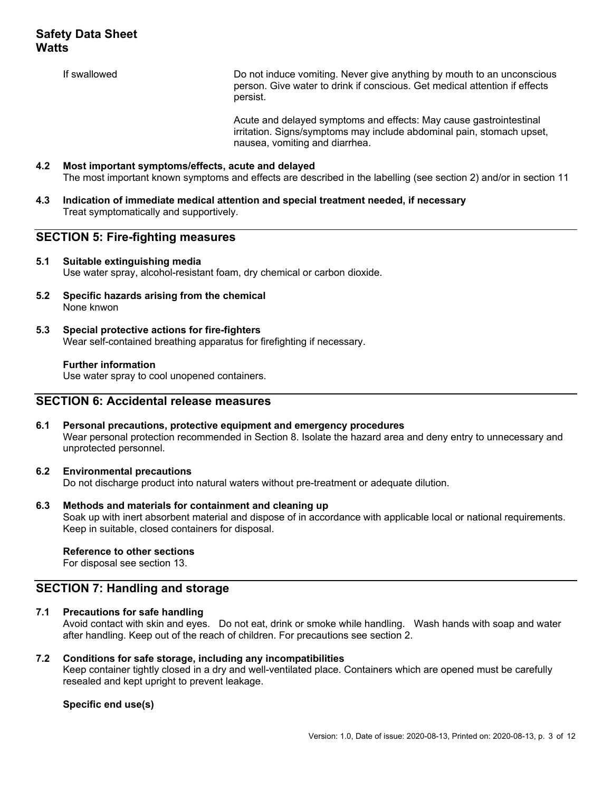If swallowed **Example 20** Do not induce vomiting. Never give anything by mouth to an unconscious person. Give water to drink if conscious. Get medical attention if effects persist.

> Acute and delayed symptoms and effects: May cause gastrointestinal irritation. Signs/symptoms may include abdominal pain, stomach upset, nausea, vomiting and diarrhea.

## **4.2 Most important symptoms/effects, acute and delayed**  The most important known symptoms and effects are described in the labelling (see section 2) and/or in section 11

**4.3 Indication of immediate medical attention and special treatment needed, if necessary**  Treat symptomatically and supportively.

### **SECTION 5: Fire-fighting measures**

#### **5.1 Suitable extinguishing media**  Use water spray, alcohol-resistant foam, dry chemical or carbon dioxide.

- **5.2 Specific hazards arising from the chemical**  None knwon
- **5.3 Special protective actions for fire-fighters**  Wear self-contained breathing apparatus for firefighting if necessary.

#### **Further information**

Use water spray to cool unopened containers.

### **SECTION 6: Accidental release measures**

**6.1 Personal precautions, protective equipment and emergency procedures**  Wear personal protection recommended in Section 8. Isolate the hazard area and deny entry to unnecessary and unprotected personnel.

#### **6.2 Environmental precautions**

Do not discharge product into natural waters without pre-treatment or adequate dilution.

#### **6.3 Methods and materials for containment and cleaning up**

Soak up with inert absorbent material and dispose of in accordance with applicable local or national requirements. Keep in suitable, closed containers for disposal.

#### **Reference to other sections**

For disposal see section 13.

#### **SECTION 7: Handling and storage**

### **7.1 Precautions for safe handling**

Avoid contact with skin and eyes. Do not eat, drink or smoke while handling. Wash hands with soap and water after handling. Keep out of the reach of children. For precautions see section 2.

#### **7.2 Conditions for safe storage, including any incompatibilities**

Keep container tightly closed in a dry and well-ventilated place. Containers which are opened must be carefully resealed and kept upright to prevent leakage.

#### **Specific end use(s)**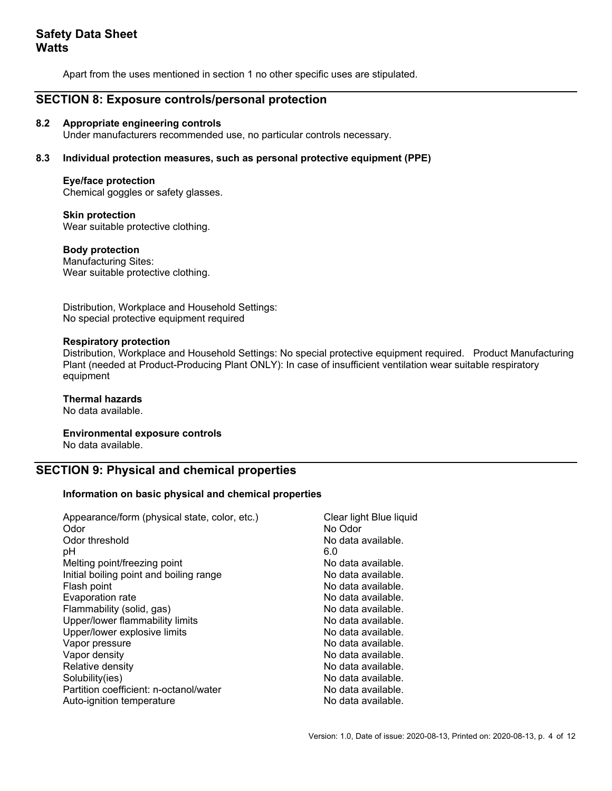Apart from the uses mentioned in section 1 no other specific uses are stipulated.

## **SECTION 8: Exposure controls/personal protection**

#### **8.2 Appropriate engineering controls**

Under manufacturers recommended use, no particular controls necessary.

#### **8.3 Individual protection measures, such as personal protective equipment (PPE)**

#### **Eye/face protection**

Chemical goggles or safety glasses.

 **Skin protection**  Wear suitable protective clothing.

#### **Body protection**

Manufacturing Sites: Wear suitable protective clothing.

Distribution, Workplace and Household Settings: No special protective equipment required

#### **Respiratory protection**

Distribution, Workplace and Household Settings: No special protective equipment required. Product Manufacturing Plant (needed at Product-Producing Plant ONLY): In case of insufficient ventilation wear suitable respiratory equipment

#### **Thermal hazards**

No data available.

 **Environmental exposure controls**  No data available.

# **SECTION 9: Physical and chemical properties**

#### **Information on basic physical and chemical properties**

| Appearance/form (physical state, color, etc.)<br>Odor | Clear light Blue liquid<br>No Odor |
|-------------------------------------------------------|------------------------------------|
| Odor threshold                                        | No data available.                 |
| рH                                                    | 6.0                                |
| Melting point/freezing point                          | No data available.                 |
| Initial boiling point and boiling range               | No data available.                 |
| Flash point                                           | No data available.                 |
| Evaporation rate                                      | No data available.                 |
| Flammability (solid, gas)                             | No data available.                 |
| Upper/lower flammability limits                       | No data available.                 |
| Upper/lower explosive limits                          | No data available.                 |
| Vapor pressure                                        | No data available.                 |
| Vapor density                                         | No data available.                 |
| Relative density                                      | No data available.                 |
| Solubility(ies)                                       | No data available.                 |
| Partition coefficient: n-octanol/water                | No data available.                 |
| Auto-ignition temperature                             | No data available.                 |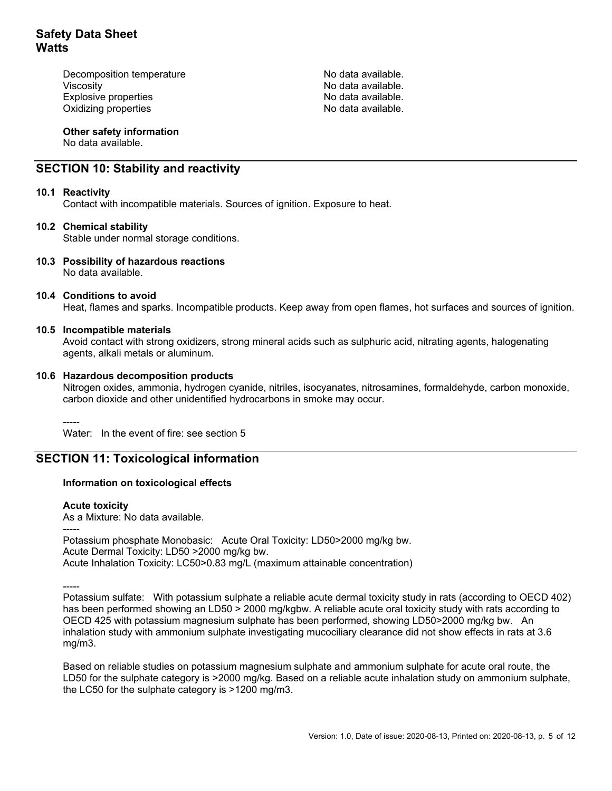Decomposition temperature No data available. Viscosity **No data available**. Explosive properties **No assume that is a set of the S** No data available. Oxidizing properties No data available.

 **Other safety information** 

No data available.

# **SECTION 10: Stability and reactivity**

#### **10.1 Reactivity**

Contact with incompatible materials. Sources of ignition. Exposure to heat.

#### **10.2 Chemical stability**

Stable under normal storage conditions.

#### **10.3 Possibility of hazardous reactions**

No data available.

#### **10.4 Conditions to avoid**

Heat, flames and sparks. Incompatible products. Keep away from open flames, hot surfaces and sources of ignition.

#### **10.5 Incompatible materials**

Avoid contact with strong oxidizers, strong mineral acids such as sulphuric acid, nitrating agents, halogenating agents, alkali metals or aluminum.

#### **10.6 Hazardous decomposition products**

Nitrogen oxides, ammonia, hydrogen cyanide, nitriles, isocyanates, nitrosamines, formaldehyde, carbon monoxide, carbon dioxide and other unidentified hydrocarbons in smoke may occur.

-----

Water: In the event of fire: see section 5

### **SECTION 11: Toxicological information**

#### **Information on toxicological effects**

#### **Acute toxicity**

As a Mixture: No data available.

-----

Potassium phosphate Monobasic: Acute Oral Toxicity: LD50>2000 mg/kg bw. Acute Dermal Toxicity: LD50 >2000 mg/kg bw. Acute Inhalation Toxicity: LC50>0.83 mg/L (maximum attainable concentration)

-----

Potassium sulfate: With potassium sulphate a reliable acute dermal toxicity study in rats (according to OECD 402) has been performed showing an LD50 > 2000 mg/kgbw. A reliable acute oral toxicity study with rats according to OECD 425 with potassium magnesium sulphate has been performed, showing LD50>2000 mg/kg bw. An inhalation study with ammonium sulphate investigating mucociliary clearance did not show effects in rats at 3.6 mg/m3.

Based on reliable studies on potassium magnesium sulphate and ammonium sulphate for acute oral route, the LD50 for the sulphate category is >2000 mg/kg. Based on a reliable acute inhalation study on ammonium sulphate, the LC50 for the sulphate category is >1200 mg/m3.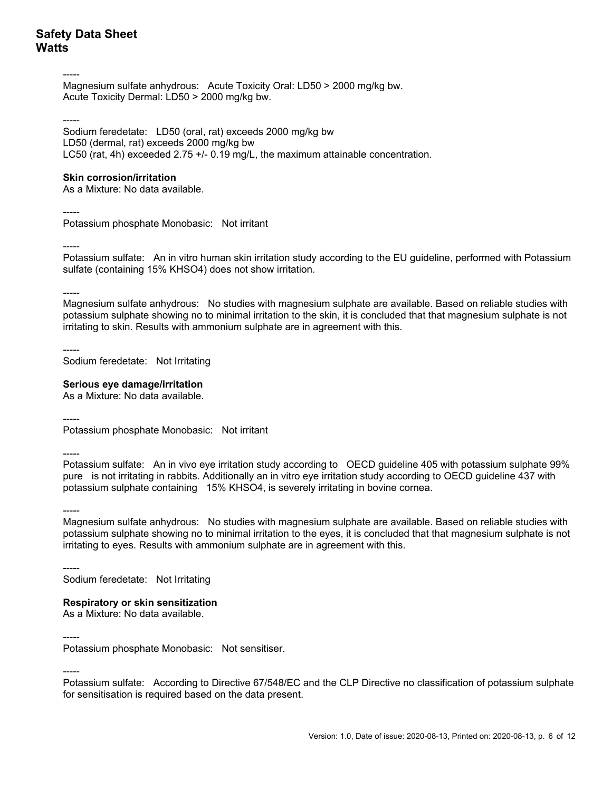-----

Magnesium sulfate anhydrous: Acute Toxicity Oral: LD50 > 2000 mg/kg bw. Acute Toxicity Dermal: LD50 > 2000 mg/kg bw.

-----

Sodium feredetate: LD50 (oral, rat) exceeds 2000 mg/kg bw LD50 (dermal, rat) exceeds 2000 mg/kg bw LC50 (rat, 4h) exceeded 2.75 +/- 0.19 mg/L, the maximum attainable concentration.

#### **Skin corrosion/irritation**

As a Mixture: No data available.

-----

Potassium phosphate Monobasic: Not irritant

-----

Potassium sulfate: An in vitro human skin irritation study according to the EU guideline, performed with Potassium sulfate (containing 15% KHSO4) does not show irritation.

-----

Magnesium sulfate anhydrous: No studies with magnesium sulphate are available. Based on reliable studies with potassium sulphate showing no to minimal irritation to the skin, it is concluded that that magnesium sulphate is not irritating to skin. Results with ammonium sulphate are in agreement with this.

----- Sodium feredetate: Not Irritating

#### **Serious eye damage/irritation**

As a Mixture: No data available.

----- Potassium phosphate Monobasic: Not irritant

-----

Potassium sulfate: An in vivo eye irritation study according to OECD guideline 405 with potassium sulphate 99% pure is not irritating in rabbits. Additionally an in vitro eye irritation study according to OECD guideline 437 with potassium sulphate containing 15% KHSO4, is severely irritating in bovine cornea.

-----

Magnesium sulfate anhydrous: No studies with magnesium sulphate are available. Based on reliable studies with potassium sulphate showing no to minimal irritation to the eyes, it is concluded that that magnesium sulphate is not irritating to eyes. Results with ammonium sulphate are in agreement with this.

----- Sodium feredetate: Not Irritating

### **Respiratory or skin sensitization**

As a Mixture: No data available.

-----

<sup>-----</sup>  Potassium phosphate Monobasic: Not sensitiser.

Potassium sulfate: According to Directive 67/548/EC and the CLP Directive no classification of potassium sulphate for sensitisation is required based on the data present.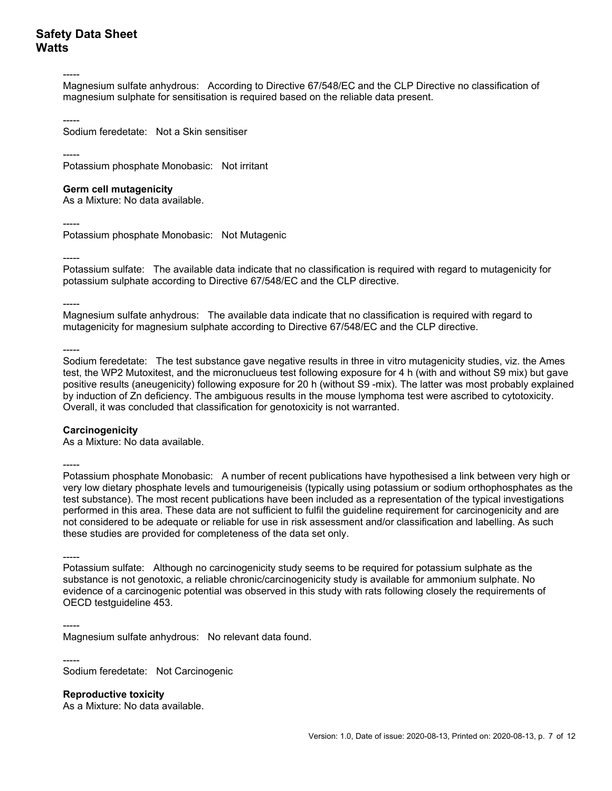-----

Magnesium sulfate anhydrous: According to Directive 67/548/EC and the CLP Directive no classification of magnesium sulphate for sensitisation is required based on the reliable data present.

----- Sodium feredetate: Not a Skin sensitiser

-----

Potassium phosphate Monobasic: Not irritant

#### **Germ cell mutagenicity**

As a Mixture: No data available.

-----

Potassium phosphate Monobasic: Not Mutagenic

----- Potassium sulfate: The available data indicate that no classification is required with regard to mutagenicity for potassium sulphate according to Directive 67/548/EC and the CLP directive.

-----

Magnesium sulfate anhydrous: The available data indicate that no classification is required with regard to mutagenicity for magnesium sulphate according to Directive 67/548/EC and the CLP directive.

-----

Sodium feredetate: The test substance gave negative results in three in vitro mutagenicity studies, viz. the Ames test, the WP2 Mutoxitest, and the micronuclueus test following exposure for 4 h (with and without S9 mix) but gave positive results (aneugenicity) following exposure for 20 h (without S9 -mix). The latter was most probably explained by induction of Zn deficiency. The ambiguous results in the mouse lymphoma test were ascribed to cytotoxicity. Overall, it was concluded that classification for genotoxicity is not warranted.

#### **Carcinogenicity**

As a Mixture: No data available.

-----

Potassium phosphate Monobasic: A number of recent publications have hypothesised a link between very high or very low dietary phosphate levels and tumourigeneisis (typically using potassium or sodium orthophosphates as the test substance). The most recent publications have been included as a representation of the typical investigations performed in this area. These data are not sufficient to fulfil the guideline requirement for carcinogenicity and are not considered to be adequate or reliable for use in risk assessment and/or classification and labelling. As such these studies are provided for completeness of the data set only.

----- Potassium sulfate: Although no carcinogenicity study seems to be required for potassium sulphate as the substance is not genotoxic, a reliable chronic/carcinogenicity study is available for ammonium sulphate. No evidence of a carcinogenic potential was observed in this study with rats following closely the requirements of OECD testguideline 453.

----- Magnesium sulfate anhydrous: No relevant data found.

----- Sodium feredetate: Not Carcinogenic

 **Reproductive toxicity** 

As a Mixture: No data available.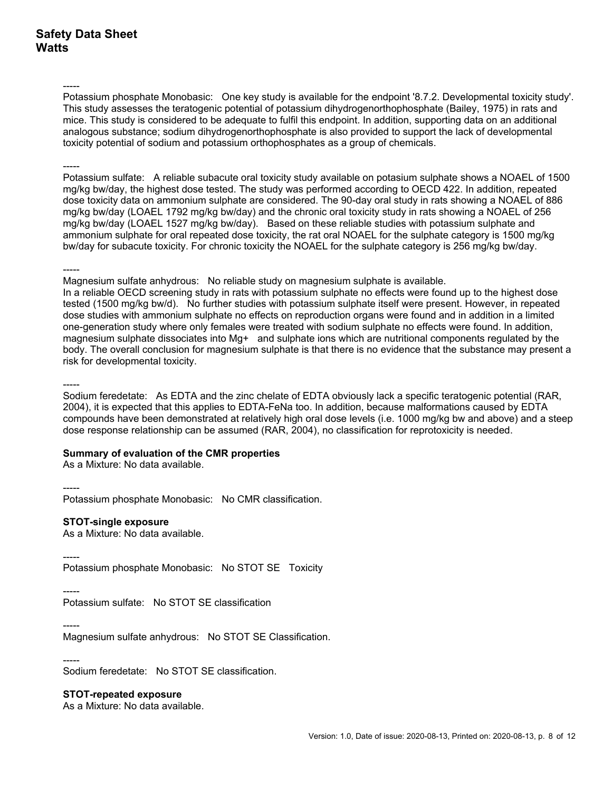-----

Potassium phosphate Monobasic: One key study is available for the endpoint '8.7.2. Developmental toxicity study'. This study assesses the teratogenic potential of potassium dihydrogenorthophosphate (Bailey, 1975) in rats and mice. This study is considered to be adequate to fulfil this endpoint. In addition, supporting data on an additional analogous substance; sodium dihydrogenorthophosphate is also provided to support the lack of developmental toxicity potential of sodium and potassium orthophosphates as a group of chemicals.

-----

Potassium sulfate: A reliable subacute oral toxicity study available on potasium sulphate shows a NOAEL of 1500 mg/kg bw/day, the highest dose tested. The study was performed according to OECD 422. In addition, repeated dose toxicity data on ammonium sulphate are considered. The 90-day oral study in rats showing a NOAEL of 886 mg/kg bw/day (LOAEL 1792 mg/kg bw/day) and the chronic oral toxicity study in rats showing a NOAEL of 256 mg/kg bw/day (LOAEL 1527 mg/kg bw/day). Based on these reliable studies with potassium sulphate and ammonium sulphate for oral repeated dose toxicity, the rat oral NOAEL for the sulphate category is 1500 mg/kg bw/day for subacute toxicity. For chronic toxicity the NOAEL for the sulphate category is 256 mg/kg bw/day.

-----

Magnesium sulfate anhydrous: No reliable study on magnesium sulphate is available.

In a reliable OECD screening study in rats with potassium sulphate no effects were found up to the highest dose tested (1500 mg/kg bw/d). No further studies with potassium sulphate itself were present. However, in repeated dose studies with ammonium sulphate no effects on reproduction organs were found and in addition in a limited one-generation study where only females were treated with sodium sulphate no effects were found. In addition, magnesium sulphate dissociates into Mg+ and sulphate ions which are nutritional components regulated by the body. The overall conclusion for magnesium sulphate is that there is no evidence that the substance may present a risk for developmental toxicity.

-----

Sodium feredetate: As EDTA and the zinc chelate of EDTA obviously lack a specific teratogenic potential (RAR, 2004), it is expected that this applies to EDTA-FeNa too. In addition, because malformations caused by EDTA compounds have been demonstrated at relatively high oral dose levels (i.e. 1000 mg/kg bw and above) and a steep dose response relationship can be assumed (RAR, 2004), no classification for reprotoxicity is needed.

#### **Summary of evaluation of the CMR properties**

As a Mixture: No data available.

-----

Potassium phosphate Monobasic: No CMR classification.

#### **STOT-single exposure**

As a Mixture: No data available.

----- Potassium phosphate Monobasic: No STOT SE Toxicity

----- Potassium sulfate: No STOT SE classification

----- Magnesium sulfate anhydrous: No STOT SE Classification.

#### -----

Sodium feredetate: No STOT SE classification.

 **STOT-repeated exposure** 

As a Mixture: No data available.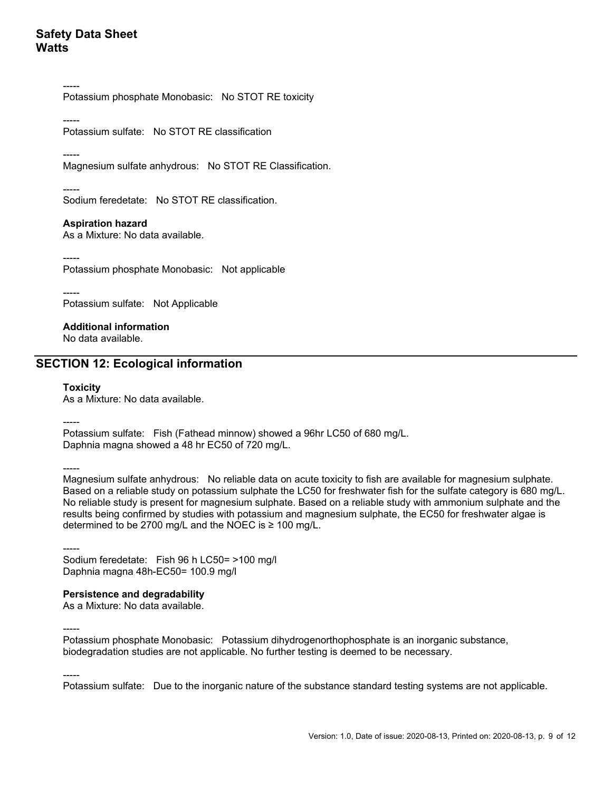----- Potassium phosphate Monobasic: No STOT RE toxicity

----- Potassium sulfate: No STOT RE classification

-----

Magnesium sulfate anhydrous: No STOT RE Classification.

----- Sodium feredetate: No STOT RE classification.

#### **Aspiration hazard**

As a Mixture: No data available.

----- Potassium phosphate Monobasic: Not applicable

----- Potassium sulfate: Not Applicable

 **Additional information**  No data available.

### **SECTION 12: Ecological information**

#### **Toxicity**

As a Mixture: No data available.

-----

Potassium sulfate: Fish (Fathead minnow) showed a 96hr LC50 of 680 mg/L. Daphnia magna showed a 48 hr EC50 of 720 mg/L.

-----

-----

-----

Magnesium sulfate anhydrous: No reliable data on acute toxicity to fish are available for magnesium sulphate. Based on a reliable study on potassium sulphate the LC50 for freshwater fish for the sulfate category is 680 mg/L. No reliable study is present for magnesium sulphate. Based on a reliable study with ammonium sulphate and the results being confirmed by studies with potassium and magnesium sulphate, the EC50 for freshwater algae is determined to be 2700 mg/L and the NOEC is ≥ 100 mg/L.

----- Sodium feredetate: Fish 96 h LC50= >100 mg/l Daphnia magna 48h-EC50= 100.9 mg/l

## **Persistence and degradability**

As a Mixture: No data available.

Potassium phosphate Monobasic: Potassium dihydrogenorthophosphate is an inorganic substance, biodegradation studies are not applicable. No further testing is deemed to be necessary.

Potassium sulfate: Due to the inorganic nature of the substance standard testing systems are not applicable.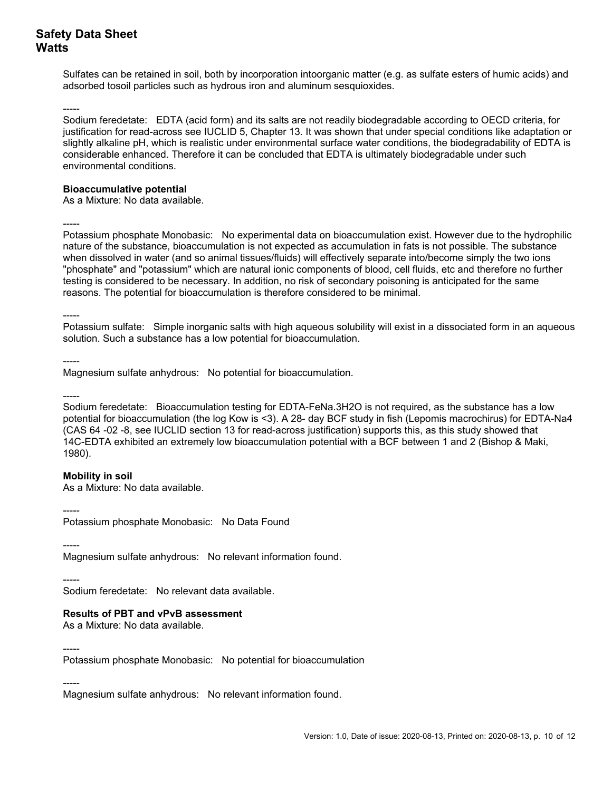Sulfates can be retained in soil, both by incorporation intoorganic matter (e.g. as sulfate esters of humic acids) and adsorbed tosoil particles such as hydrous iron and aluminum sesquioxides.

----- Sodium feredetate: EDTA (acid form) and its salts are not readily biodegradable according to OECD criteria, for justification for read-across see IUCLID 5, Chapter 13. It was shown that under special conditions like adaptation or slightly alkaline pH, which is realistic under environmental surface water conditions, the biodegradability of EDTA is considerable enhanced. Therefore it can be concluded that EDTA is ultimately biodegradable under such environmental conditions.

#### **Bioaccumulative potential**

As a Mixture: No data available.

-----

Potassium phosphate Monobasic: No experimental data on bioaccumulation exist. However due to the hydrophilic nature of the substance, bioaccumulation is not expected as accumulation in fats is not possible. The substance when dissolved in water (and so animal tissues/fluids) will effectively separate into/become simply the two ions "phosphate" and "potassium" which are natural ionic components of blood, cell fluids, etc and therefore no further testing is considered to be necessary. In addition, no risk of secondary poisoning is anticipated for the same reasons. The potential for bioaccumulation is therefore considered to be minimal.

-----

Potassium sulfate: Simple inorganic salts with high aqueous solubility will exist in a dissociated form in an aqueous solution. Such a substance has a low potential for bioaccumulation.

----- Magnesium sulfate anhydrous: No potential for bioaccumulation.

-----

Sodium feredetate: Bioaccumulation testing for EDTA-FeNa.3H2O is not required, as the substance has a low potential for bioaccumulation (the log Kow is <3). A 28- day BCF study in fish (Lepomis macrochirus) for EDTA-Na4 (CAS 64 -02 -8, see IUCLID section 13 for read-across justification) supports this, as this study showed that 14C-EDTA exhibited an extremely low bioaccumulation potential with a BCF between 1 and 2 (Bishop & Maki, 1980).

#### **Mobility in soil**

As a Mixture: No data available.

----- Potassium phosphate Monobasic: No Data Found

-----

Magnesium sulfate anhydrous: No relevant information found.

----- Sodium feredetate: No relevant data available.

#### **Results of PBT and vPvB assessment**

As a Mixture: No data available.

----- Potassium phosphate Monobasic: No potential for bioaccumulation

----- Magnesium sulfate anhydrous: No relevant information found.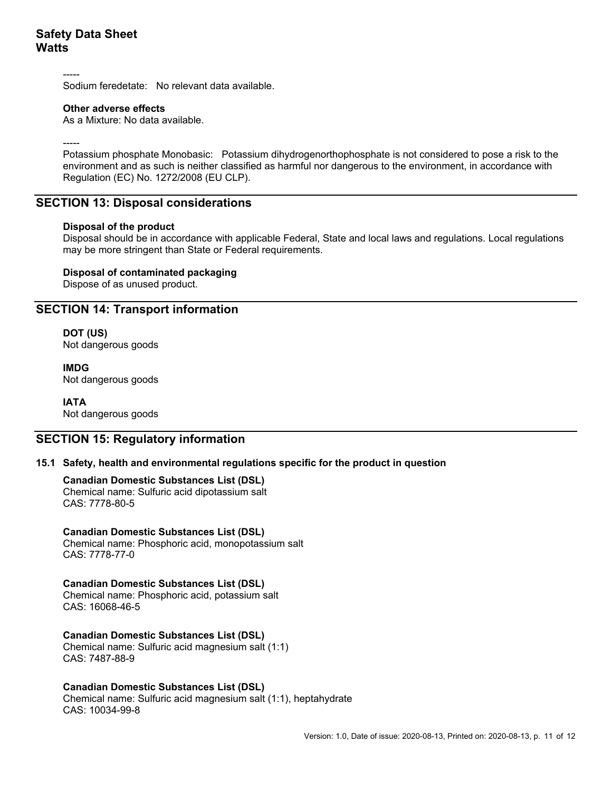-----

Sodium feredetate: No relevant data available.

#### **Other adverse effects**

As a Mixture: No data available.

-----

Potassium phosphate Monobasic: Potassium dihydrogenorthophosphate is not considered to pose a risk to the environment and as such is neither classified as harmful nor dangerous to the environment, in accordance with Regulation (EC) No. 1272/2008 (EU CLP).

### **SECTION 13: Disposal considerations**

#### **Disposal of the product**

Disposal should be in accordance with applicable Federal, State and local laws and regulations. Local regulations may be more stringent than State or Federal requirements.

#### **Disposal of contaminated packaging**

Dispose of as unused product.

## **SECTION 14: Transport information**

 **DOT (US)**  Not dangerous goods

 **IMDG**  Not dangerous goods

# **IATA**

Not dangerous goods

## **SECTION 15: Regulatory information**

#### **15.1 Safety, health and environmental regulations specific for the product in question**

#### **Canadian Domestic Substances List (DSL)**

Chemical name: Sulfuric acid dipotassium salt CAS: 7778-80-5

#### **Canadian Domestic Substances List (DSL)**

Chemical name: Phosphoric acid, monopotassium salt CAS: 7778-77-0

### **Canadian Domestic Substances List (DSL)**

Chemical name: Phosphoric acid, potassium salt CAS: 16068-46-5

#### **Canadian Domestic Substances List (DSL)**

Chemical name: Sulfuric acid magnesium salt (1:1) CAS: 7487-88-9

#### **Canadian Domestic Substances List (DSL)**

Chemical name: Sulfuric acid magnesium salt (1:1), heptahydrate CAS: 10034-99-8